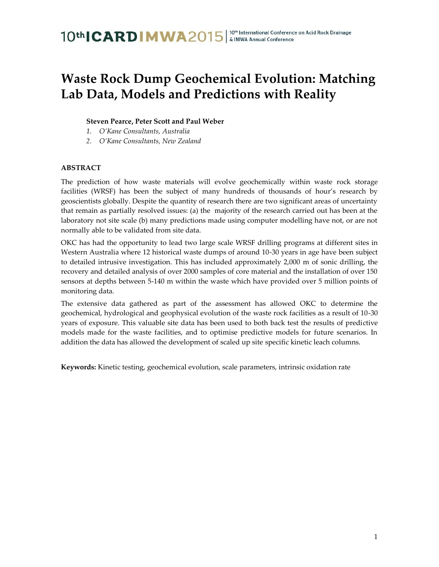### **Waste Rock Dump Geochemical Evolution: Matching Lab Data, Models and Predictions with Reality**

### **Steven Pearce, Peter Scott and Paul Weber**

- *1. O'Kane Consultants, Australia*
- *2. O'Kane Consultants, New Zealand*

### **ABSTRACT**

The prediction of how waste materials will evolve geochemically within waste rock storage facilities (WRSF) has been the subject of many hundreds of thousands of hour's research by geoscientists globally. Despite the quantity of research there are two significant areas of uncertainty that remain as partially resolved issues: (a) the majority of the research carried out has been at the laboratory not site scale (b) many predictions made using computer modelling have not, or are not normally able to be validated from site data.

OKC has had the opportunity to lead two large scale WRSF drilling programs at different sites in Western Australia where 12 historical waste dumps of around 10-30 years in age have been subject to detailed intrusive investigation. This has included approximately 2,000 m of sonic drilling, the recovery and detailed analysis of over 2000 samples of core material and the installation of over 150 sensors at depths between 5-140 m within the waste which have provided over 5 million points of monitoring data.

The extensive data gathered as part of the assessment has allowed OKC to determine the geochemical, hydrological and geophysical evolution of the waste rock facilities as a result of 10-30 years of exposure. This valuable site data has been used to both back test the results of predictive models made for the waste facilities, and to optimise predictive models for future scenarios. In addition the data has allowed the development of scaled up site specific kinetic leach columns.

**Keywords:** Kinetic testing, geochemical evolution, scale parameters, intrinsic oxidation rate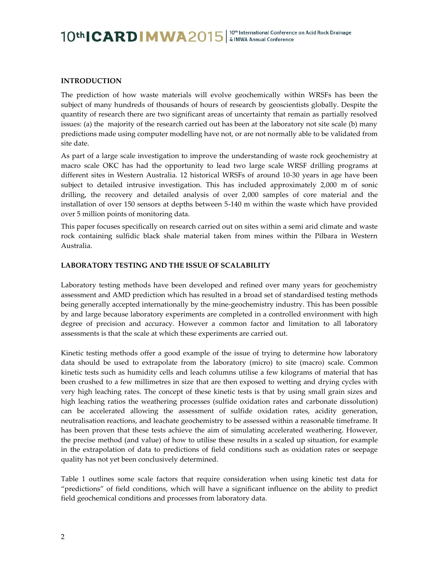### **INTRODUCTION**

The prediction of how waste materials will evolve geochemically within WRSFs has been the subject of many hundreds of thousands of hours of research by geoscientists globally. Despite the quantity of research there are two significant areas of uncertainty that remain as partially resolved issues: (a) the majority of the research carried out has been at the laboratory not site scale (b) many predictions made using computer modelling have not, or are not normally able to be validated from site date.

As part of a large scale investigation to improve the understanding of waste rock geochemistry at macro scale OKC has had the opportunity to lead two large scale WRSF drilling programs at different sites in Western Australia. 12 historical WRSFs of around 10-30 years in age have been subject to detailed intrusive investigation. This has included approximately 2,000 m of sonic drilling, the recovery and detailed analysis of over 2,000 samples of core material and the installation of over 150 sensors at depths between 5-140 m within the waste which have provided over 5 million points of monitoring data.

This paper focuses specifically on research carried out on sites within a semi arid climate and waste rock containing sulfidic black shale material taken from mines within the Pilbara in Western Australia.

#### **LABORATORY TESTING AND THE ISSUE OF SCALABILITY**

Laboratory testing methods have been developed and refined over many years for geochemistry assessment and AMD prediction which has resulted in a broad set of standardised testing methods being generally accepted internationally by the mine-geochemistry industry. This has been possible by and large because laboratory experiments are completed in a controlled environment with high degree of precision and accuracy. However a common factor and limitation to all laboratory assessments is that the scale at which these experiments are carried out.

Kinetic testing methods offer a good example of the issue of trying to determine how laboratory data should be used to extrapolate from the laboratory (micro) to site (macro) scale. Common kinetic tests such as humidity cells and leach columns utilise a few kilograms of material that has been crushed to a few millimetres in size that are then exposed to wetting and drying cycles with very high leaching rates. The concept of these kinetic tests is that by using small grain sizes and high leaching ratios the weathering processes (sulfide oxidation rates and carbonate dissolution) can be accelerated allowing the assessment of sulfide oxidation rates, acidity generation, neutralisation reactions, and leachate geochemistry to be assessed within a reasonable timeframe. It has been proven that these tests achieve the aim of simulating accelerated weathering. However, the precise method (and value) of how to utilise these results in a scaled up situation, for example in the extrapolation of data to predictions of field conditions such as oxidation rates or seepage quality has not yet been conclusively determined.

Table 1 outlines some scale factors that require consideration when using kinetic test data for "predictions" of field conditions, which will have a significant influence on the ability to predict field geochemical conditions and processes from laboratory data.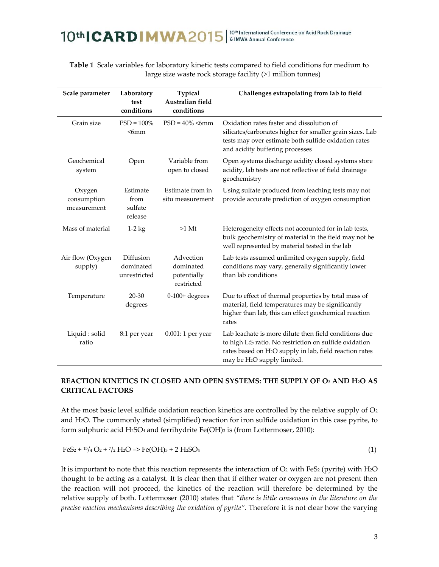### | 10<sup>th</sup> International Conference on Acid Rock Drainage<br>| & IMWA Annual Conference 10th CARD MWA2015

| Scale parameter                      | Laboratory<br>test<br>conditions       | Typical<br>Australian field<br>conditions           | Challenges extrapolating from lab to field                                                                                                                                                                                        |  |
|--------------------------------------|----------------------------------------|-----------------------------------------------------|-----------------------------------------------------------------------------------------------------------------------------------------------------------------------------------------------------------------------------------|--|
| Grain size                           | $PSD = 100\%$<br>$6mm$                 | $PSD = 40\% \leq 6 \text{mm}$                       | Oxidation rates faster and dissolution of<br>silicates/carbonates higher for smaller grain sizes. Lab<br>tests may over estimate both sulfide oxidation rates<br>and acidity buffering processes                                  |  |
| Geochemical<br>system                | Open                                   | Variable from<br>open to closed                     | Open systems discharge acidity closed systems store<br>acidity, lab tests are not reflective of field drainage<br>geochemistry                                                                                                    |  |
| Oxygen<br>consumption<br>measurement | Estimate<br>from<br>sulfate<br>release | Estimate from in<br>situ measurement                | Using sulfate produced from leaching tests may not<br>provide accurate prediction of oxygen consumption                                                                                                                           |  |
| Mass of material                     | $1-2$ kg                               | $>1$ Mt                                             | Heterogeneity effects not accounted for in lab tests,<br>bulk geochemistry of material in the field may not be<br>well represented by material tested in the lab                                                                  |  |
| Air flow (Oxygen<br>supply)          | Diffusion<br>dominated<br>unrestricted | Advection<br>dominated<br>potentially<br>restricted | Lab tests assumed unlimited oxygen supply, field<br>conditions may vary, generally significantly lower<br>than lab conditions                                                                                                     |  |
| Temperature                          | $20 - 30$<br>degrees                   | $0-100+$ degrees                                    | Due to effect of thermal properties by total mass of<br>material, field temperatures may be significantly<br>higher than lab, this can effect geochemical reaction<br>rates                                                       |  |
| Liquid : solid<br>ratio              | 8:1 per year                           | $0.001:1$ per year                                  | Lab leachate is more dilute then field conditions due<br>to high L:S ratio. No restriction on sulfide oxidation<br>rates based on H <sub>2</sub> O supply in lab, field reaction rates<br>may be H <sub>2</sub> O supply limited. |  |

**Table 1** Scale variables for laboratory kinetic tests compared to field conditions for medium to large size waste rock storage facility (>1 million tonnes)

### **REACTION KINETICS IN CLOSED AND OPEN SYSTEMS: THE SUPPLY OF O<sup>2</sup> AND H2O AS CRITICAL FACTORS**

At the most basic level sulfide oxidation reaction kinetics are controlled by the relative supply of  $O<sub>2</sub>$ and H2O. The commonly stated (simplified) reaction for iron sulfide oxidation in this case pyrite, to form sulphuric acid H2SO<sub>4</sub> and ferrihydrite Fe(OH)<sub>3</sub> is (from Lottermoser, 2010):

 $FeS<sub>2</sub> + <sup>15</sup>/<sub>4</sub> Q<sub>2</sub> + <sup>7</sup>/<sub>2</sub> H<sub>2</sub> Q \Rightarrow Fe(OH)<sub>3</sub> + 2 H<sub>2</sub> SO<sub>4</sub>$  (1)

It is important to note that this reaction represents the interaction of  $O<sub>2</sub>$  with FeS<sub>2</sub> (pyrite) with H<sub>2</sub>O thought to be acting as a catalyst. It is clear then that if either water or oxygen are not present then the reaction will not proceed, the kinetics of the reaction will therefore be determined by the relative supply of both. Lottermoser (2010) states that *"there is little consensus in the literature on the precise reaction mechanisms describing the oxidation of pyrite".* Therefore it is not clear how the varying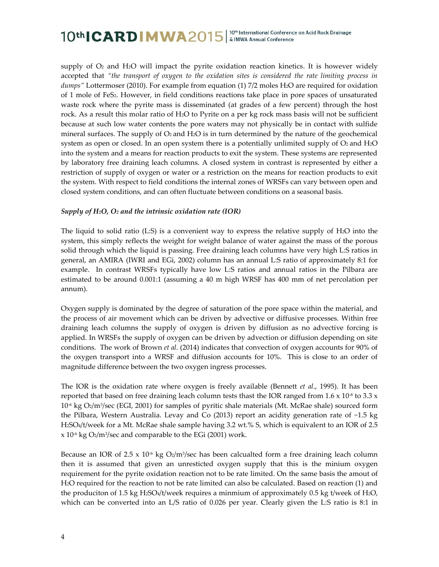supply of  $O<sub>2</sub>$  and H<sub>2</sub>O will impact the pyrite oxidation reaction kinetics. It is however widely accepted that *"the transport of oxygen to the oxidation sites is considered the rate limiting process in dumps"* Lottermoser (2010). For example from equation (1) 7/2 moles H2O are required for oxidation of 1 mole of FeS2. However, in field conditions reactions take place in pore spaces of unsaturated waste rock where the pyrite mass is disseminated (at grades of a few percent) through the host rock. As a result this molar ratio of H2O to Pyrite on a per kg rock mass basis will not be sufficient because at such low water contents the pore waters may not physically be in contact with sulfide mineral surfaces. The supply of  $O_2$  and  $H_2O$  is in turn determined by the nature of the geochemical system as open or closed. In an open system there is a potentially unlimited supply of  $O<sub>2</sub>$  and  $H<sub>2</sub>O$ into the system and a means for reaction products to exit the system. These systems are represented by laboratory free draining leach columns. A closed system in contrast is represented by either a restriction of supply of oxygen or water or a restriction on the means for reaction products to exit the system. With respect to field conditions the internal zones of WRSFs can vary between open and closed system conditions, and can often fluctuate between conditions on a seasonal basis.

### *Supply of H2O, O<sup>2</sup> and the intrinsic oxidation rate (IOR)*

The liquid to solid ratio (L:S) is a convenient way to express the relative supply of H2O into the system, this simply reflects the weight for weight balance of water against the mass of the porous solid through which the liquid is passing. Free draining leach columns have very high L:S ratios in general, an AMIRA (IWRI and EGi, 2002) column has an annual L:S ratio of approximately 8:1 for example. In contrast WRSFs typically have low L:S ratios and annual ratios in the Pilbara are estimated to be around 0.001:1 (assuming a 40 m high WRSF has 400 mm of net percolation per annum).

Oxygen supply is dominated by the degree of saturation of the pore space within the material, and the process of air movement which can be driven by advective or diffusive processes. Within free draining leach columns the supply of oxygen is driven by diffusion as no advective forcing is applied. In WRSFs the supply of oxygen can be driven by advection or diffusion depending on site conditions. The work of Brown *et al*. (2014) indicates that convection of oxygen accounts for 90% of the oxygen transport into a WRSF and diffusion accounts for 10%. This is close to an order of magnitude difference between the two oxygen ingress processes.

The IOR is the oxidation rate where oxygen is freely available (Bennett *et al*., 1995). It has been reported that based on free draining leach column tests thast the IOR ranged from  $1.6 \times 10^{18}$  to  $3.3 \times$ 10<sup>-6</sup> kg O2/m<sup>3</sup>/sec (EGI, 2001) for samples of pyritic shale materials (Mt. McRae shale) sourced form the Pilbara, Western Australia. Levay and Co (2013) report an acidity generation rate of ~1.5 kg H2SO4/t/week for a Mt. McRae shale sample having 3.2 wt.% S, which is equivalent to an IOR of 2.5 x 10<sup>-6</sup> kg O2/m<sup>3</sup>/sec and comparable to the EGi (2001) work.

Because an IOR of 2.5 x 10<sup>-6</sup> kg O2/m<sup>3</sup>/sec has been calcualted form a free draining leach column then it is assumed that given an unresticted oxygen supply that this is the minium oxygen requirement for the pyrite oxidation reaction not to be rate limited. On the same basis the amout of H2O required for the reaction to not be rate limited can also be calculated. Based on reaction (1) and the produciton of 1.5 kg H2SO4/t/week requires a minmium of approximately 0.5 kg t/week of H2O, which can be converted into an L/S ratio of 0.026 per year. Clearly given the L:S ratio is 8:1 in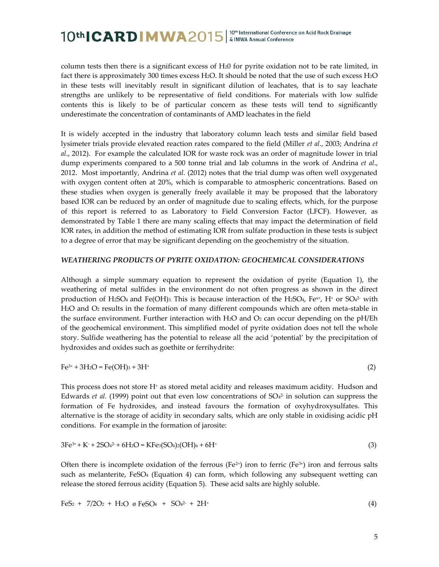column tests then there is a significant excess of H20 for pyrite oxidation not to be rate limited, in fact there is approximately 300 times excess H2O. It should be noted that the use of such excess H2O in these tests will inevitably result in significant dilution of leachates, that is to say leachate strengths are unlikely to be representative of field conditions. For materials with low sulfide contents this is likely to be of particular concern as these tests will tend to significantly underestimate the concentration of contaminants of AMD leachates in the field

It is widely accepted in the industry that laboratory column leach tests and similar field based lysimeter trials provide elevated reaction rates compared to the field (Miller *et al*., 2003; Andrina *et al*., 2012). For example the calculated IOR for waste rock was an order of magnitude lower in trial dump experiments compared to a 500 tonne trial and lab columns in the work of Andrina *et al*., 2012. Most importantly, Andrina *et al*. (2012) notes that the trial dump was often well oxygenated with oxygen content often at 20%, which is comparable to atmospheric concentrations. Based on these studies when oxygen is generally freely available it may be proposed that the laboratory based IOR can be reduced by an order of magnitude due to scaling effects, which, for the purpose of this report is referred to as Laboratory to Field Conversion Factor (LFCF). However, as demonstrated by Table 1 there are many scaling effects that may impact the determination of field IOR rates, in addition the method of estimating IOR from sulfate production in these tests is subject to a degree of error that may be significant depending on the geochemistry of the situation.

#### *WEATHERING PRODUCTS OF PYRITE OXIDATION: GEOCHEMICAL CONSIDERATIONS*

Although a simple summary equation to represent the oxidation of pyrite (Equation 1), the weathering of metal sulfides in the environment do not often progress as shown in the direct production of H2SO<sub>4</sub> and Fe(OH)<sub>3</sub>. This is because interaction of the H2SO<sub>4</sub>, Fe<sup>x+</sup>, H<sup>+</sup> or SO<sub>4</sub><sup>2</sup> with H2O and O<sup>2</sup> results in the formation of many different compounds which are often meta-stable in the surface environment. Further interaction with H<sub>2</sub>O and  $O_2$  can occur depending on the pH/Eh of the geochemical environment. This simplified model of pyrite oxidation does not tell the whole story. Sulfide weathering has the potential to release all the acid 'potential' by the precipitation of hydroxides and oxides such as goethite or ferrihydrite:

$$
Fe^{3+} + 3H_2O = Fe(OH)_3 + 3H^+ \tag{2}
$$

This process does not store H<sup>+</sup> as stored metal acidity and releases maximum acidity. Hudson and Edwards *et al.* (1999) point out that even low concentrations of  $SO<sub>4</sub><sup>2</sup>$  in solution can suppress the formation of Fe hydroxides, and instead favours the formation of oxyhydroxysulfates. This alternative is the storage of acidity in secondary salts, which are only stable in oxidising acidic pH conditions. For example in the formation of jarosite:

$$
3Fe^{3+} + K^+ + 2SO_4^{2+} + 6H_2O = KFe_3(SO_4)_2(OH)_6 + 6H^+ \tag{3}
$$

Often there is incomplete oxidation of the ferrous (Fe<sup>2+</sup>) iron to ferric (Fe<sup>3+</sup>) iron and ferrous salts such as melanterite,  $FeSO<sub>4</sub>$  (Equation 4) can form, which following any subsequent wetting can release the stored ferrous acidity (Equation 5). These acid salts are highly soluble.

$$
FeS2 + 7/2O2 + H2O \t PeSO4 + SO42 + 2H+
$$
 (4)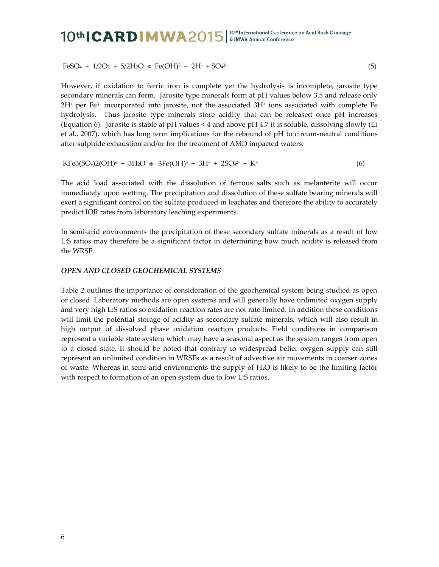$FeSO_4 + 1/2O_2 + 5/2H_2O \text{ } \otimes \text{ } Fe(OH)^3 + 2H^4 + SO_42$ (5)

However, if oxidation to ferric iron is complete yet the hydrolysis is incomplete, jarosite type secondary minerals can form. Jarosite type minerals form at pH values below 3.5 and release only 2H<sup>+</sup> per Fe3+ incorporated into jarosite, not the associated 3H<sup>+</sup> ions associated with complete Fe hydrolysis. Thus jarosite type minerals store acidity that can be released once pH increases (Equation 6). Jarosite is stable at pH values < 4 and above pH 4.7 it is soluble, dissolving slowly (Li et al., 2007), which has long term implications for the rebound of pH to circum-neutral conditions after sulphide exhaustion and/or for the treatment of AMD impacted waters.

$$
KFe3(SO4)2(OH)6 + 3H2O \otimes 3Fe(OH)3 + 3H+ + 2SO42 + K+
$$
 (6)

The acid load associated with the dissolution of ferrous salts such as melanterite will occur immediately upon wetting. The precipitation and dissolution of these sulfate bearing minerals will exert a significant control on the sulfate produced in leachates and therefore the ability to accurately predict IOR rates from laboratory leaching experiments.

In semi-arid environments the precipitation of these secondary sulfate minerals as a result of low L:S ratios may therefore be a significant factor in determining how much acidity is released from the WRSF.

#### *OPEN AND CLOSED GEOCHEMICAL SYSTEMS*

Table 2 outlines the importance of consideration of the geochemical system being studied as open or closed. Laboratory methods are open systems and will generally have unlimited oxygen supply and very high L:S ratios so oxidation reaction rates are not rate limited. In addition these conditions will limit the potential storage of acidity as secondary sulfate minerals, which will also result in high output of dissolved phase oxidation reaction products. Field conditions in comparison represent a variable state system which may have a seasonal aspect as the system ranges from open to a closed state. It should be noted that contrary to widespread belief oxygen supply can still represent an unlimited condition in WRSFs as a result of advective air movements in coarser zones of waste. Whereas in semi-arid environments the supply of H2O is likely to be the limiting factor with respect to formation of an open system due to low L:S ratios.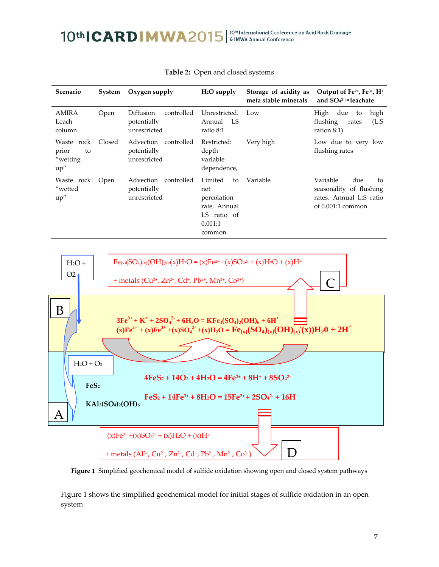| <b>Scenario</b>                               | System | Oxygen supply                                          | $H2O$ supply                                                                            | Storage of acidity as<br>meta stable minerals | Output of Fe <sup>2+</sup> , Fe <sup>3+</sup> , H <sup>+</sup><br>and $SO_4^{2-}$ in leachate      |
|-----------------------------------------------|--------|--------------------------------------------------------|-----------------------------------------------------------------------------------------|-----------------------------------------------|----------------------------------------------------------------------------------------------------|
| <b>AMIRA</b><br>Leach<br>column               | Open   | controlled<br>Diffusion<br>potentially<br>unrestricted | Unrestricted.<br>Annual LS<br>ratio 8:1                                                 | Low                                           | High<br>due<br>high<br>to<br>flushing<br>(L:S)<br>rates<br>ration $8:1$ )                          |
| Waste rock<br>prior<br>to<br>"wetting<br>up'' | Closed | Advection<br>controlled<br>potentially<br>unrestricted | Restricted:<br>depth<br>variable<br>dependence,                                         | Very high                                     | Low due to very low<br>flushing rates                                                              |
| Waste rock<br>"wetted<br>up''                 | Open   | Advection<br>controlled<br>potentially<br>unrestricted | Limited<br>to<br>net<br>percolation<br>rate, Annual<br>LS ratio of<br>0.001:1<br>common | Variable                                      | Variable<br>due<br>to<br>seasonality of flushing<br>rates. Annual L:S ratio<br>of $0.001:1$ common |

| Table 2: Open and closed systems |
|----------------------------------|
|                                  |



**Figure 1** Simplified geochemical model of sulfide oxidation showing open and closed system pathways

Figure 1 shows the simplified geochemical model for initial stages of sulfide oxidation in an open system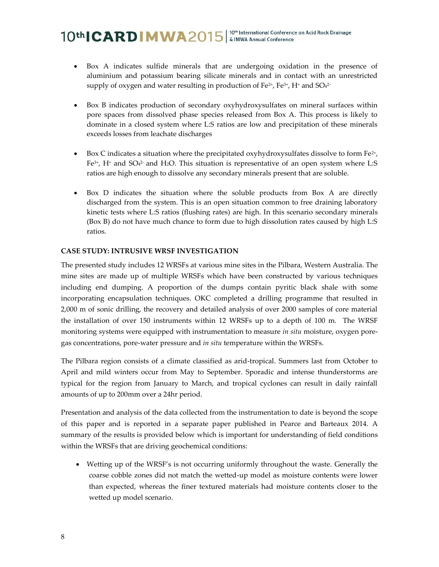- Box A indicates sulfide minerals that are undergoing oxidation in the presence of aluminium and potassium bearing silicate minerals and in contact with an unrestricted supply of oxygen and water resulting in production of Fe $^{2+}$ , Fe $^{3+}$ , H $^+$  and SO $^{42-}$
- Box B indicates production of secondary oxyhydroxysulfates on mineral surfaces within pore spaces from dissolved phase species released from Box A. This process is likely to dominate in a closed system where L:S ratios are low and precipitation of these minerals exceeds losses from leachate discharges
- Box C indicates a situation where the precipitated oxyhydroxysulfates dissolve to form  $Fe^{2+}$ , Fe3+ , H<sup>+</sup> and SO<sup>4</sup> 2- and H2O. This situation is representative of an open system where L:S ratios are high enough to dissolve any secondary minerals present that are soluble.
- Box D indicates the situation where the soluble products from Box A are directly discharged from the system. This is an open situation common to free draining laboratory kinetic tests where L:S ratios (flushing rates) are high. In this scenario secondary minerals (Box B) do not have much chance to form due to high dissolution rates caused by high L:S ratios.

### **CASE STUDY: INTRUSIVE WRSF INVESTIGATION**

The presented study includes 12 WRSFs at various mine sites in the Pilbara, Western Australia. The mine sites are made up of multiple WRSFs which have been constructed by various techniques including end dumping. A proportion of the dumps contain pyritic black shale with some incorporating encapsulation techniques. OKC completed a drilling programme that resulted in 2,000 m of sonic drilling, the recovery and detailed analysis of over 2000 samples of core material the installation of over 150 instruments within 12 WRSFs up to a depth of 100 m. The WRSF monitoring systems were equipped with instrumentation to measure *in situ* moisture, oxygen poregas concentrations, pore-water pressure and *in situ* temperature within the WRSFs.

The Pilbara region consists of a climate classified as arid-tropical. Summers last from October to April and mild winters occur from May to September. Sporadic and intense thunderstorms are typical for the region from January to March, and tropical cyclones can result in daily rainfall amounts of up to 200mm over a 24hr period.

Presentation and analysis of the data collected from the instrumentation to date is beyond the scope of this paper and is reported in a separate paper published in Pearce and Barteaux 2014. A summary of the results is provided below which is important for understanding of field conditions within the WRSFs that are driving geochemical conditions:

 Wetting up of the WRSF's is not occurring uniformly throughout the waste. Generally the coarse cobble zones did not match the wetted-up model as moisture contents were lower than expected, whereas the finer textured materials had moisture contents closer to the wetted up model scenario.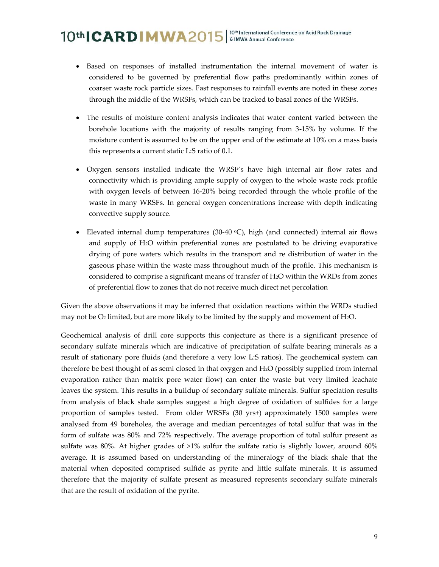- Based on responses of installed instrumentation the internal movement of water is considered to be governed by preferential flow paths predominantly within zones of coarser waste rock particle sizes. Fast responses to rainfall events are noted in these zones through the middle of the WRSFs, which can be tracked to basal zones of the WRSFs.
- The results of moisture content analysis indicates that water content varied between the borehole locations with the majority of results ranging from 3-15% by volume. If the moisture content is assumed to be on the upper end of the estimate at 10% on a mass basis this represents a current static L:S ratio of 0.1.
- Oxygen sensors installed indicate the WRSF's have high internal air flow rates and connectivity which is providing ample supply of oxygen to the whole waste rock profile with oxygen levels of between 16-20% being recorded through the whole profile of the waste in many WRSFs. In general oxygen concentrations increase with depth indicating convective supply source.
- Elevated internal dump temperatures (30-40  $\degree$ C), high (and connected) internal air flows and supply of H2O within preferential zones are postulated to be driving evaporative drying of pore waters which results in the transport and re distribution of water in the gaseous phase within the waste mass throughout much of the profile. This mechanism is considered to comprise a significant means of transfer of H2O within the WRDs from zones of preferential flow to zones that do not receive much direct net percolation

Given the above observations it may be inferred that oxidation reactions within the WRDs studied may not be  $O_2$  limited, but are more likely to be limited by the supply and movement of H<sub>2</sub>O.

Geochemical analysis of drill core supports this conjecture as there is a significant presence of secondary sulfate minerals which are indicative of precipitation of sulfate bearing minerals as a result of stationary pore fluids (and therefore a very low L:S ratios). The geochemical system can therefore be best thought of as semi closed in that oxygen and H2O (possibly supplied from internal evaporation rather than matrix pore water flow) can enter the waste but very limited leachate leaves the system. This results in a buildup of secondary sulfate minerals. Sulfur speciation results from analysis of black shale samples suggest a high degree of oxidation of sulfides for a large proportion of samples tested. From older WRSFs (30 yrs+) approximately 1500 samples were analysed from 49 boreholes, the average and median percentages of total sulfur that was in the form of sulfate was 80% and 72% respectively. The average proportion of total sulfur present as sulfate was 80%. At higher grades of >1% sulfur the sulfate ratio is slightly lower, around 60% average. It is assumed based on understanding of the mineralogy of the black shale that the material when deposited comprised sulfide as pyrite and little sulfate minerals. It is assumed therefore that the majority of sulfate present as measured represents secondary sulfate minerals that are the result of oxidation of the pyrite.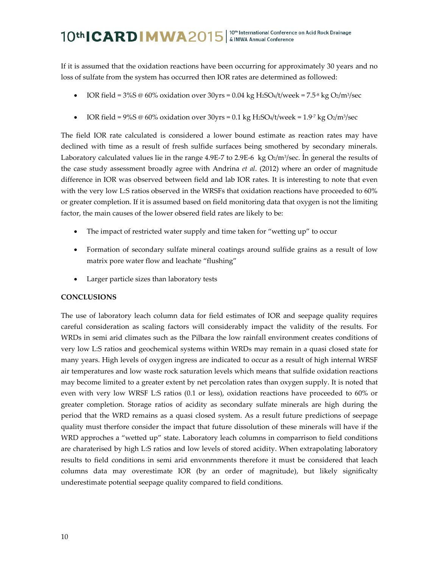If it is assumed that the oxidation reactions have been occurring for approximately 30 years and no loss of sulfate from the system has occurred then IOR rates are determined as followed:

- IOR field =  $3\%$ S @ 60% oxidation over  $30yrs = 0.04$  kg H<sub>2</sub>SO<sub>4</sub>/t/week =  $7.5\%$  kg O<sub>2</sub>/m<sup>3</sup>/sec
- IOR field =  $9\%$ S @ 60% oxidation over 30 yrs = 0.1 kg H<sub>2</sub>SO<sub>4</sub>/t/week =  $1.9\%$  kg O<sub>2</sub>/m<sup>3</sup>/sec

The field IOR rate calculated is considered a lower bound estimate as reaction rates may have declined with time as a result of fresh sulfide surfaces being smothered by secondary minerals. Laboratory calculated values lie in the range 4.9E-7 to 2.9E-6  $\,$  kg O2/m<sup>3</sup>/sec. In general the results of the case study assessment broadly agree with Andrina *et al*. (2012) where an order of magnitude difference in IOR was observed between field and lab IOR rates. It is interesting to note that even with the very low L:S ratios observed in the WRSFs that oxidation reactions have proceeded to 60% or greater completion. If it is assumed based on field monitoring data that oxygen is not the limiting factor, the main causes of the lower obsered field rates are likely to be:

- The impact of restricted water supply and time taken for "wetting up" to occur
- Formation of secondary sulfate mineral coatings around sulfide grains as a result of low matrix pore water flow and leachate "flushing"
- Larger particle sizes than laboratory tests

### **CONCLUSIONS**

The use of laboratory leach column data for field estimates of IOR and seepage quality requires careful consideration as scaling factors will considerably impact the validity of the results. For WRDs in semi arid climates such as the Pilbara the low rainfall environment creates conditions of very low L:S ratios and geochemical systems within WRDs may remain in a quasi closed state for many years. High levels of oxygen ingress are indicated to occur as a result of high internal WRSF air temperatures and low waste rock saturation levels which means that sulfide oxidation reactions may become limited to a greater extent by net percolation rates than oxygen supply. It is noted that even with very low WRSF L:S ratios (0.1 or less), oxidation reactions have proceeded to 60% or greater completion. Storage ratios of acidity as secondary sulfate minerals are high during the period that the WRD remains as a quasi closed system. As a result future predictions of seepage quality must therfore consider the impact that future dissolution of these minerals will have if the WRD approches a "wetted up" state. Laboratory leach columns in comparrison to field conditions are charaterised by high L:S ratios and low levels of stored acidity. When extrapolating laboratory results to field conditions in semi arid envonrnments therefore it must be considered that leach columns data may overestimate IOR (by an order of magnitude), but likely significalty underestimate potential seepage quality compared to field conditions.